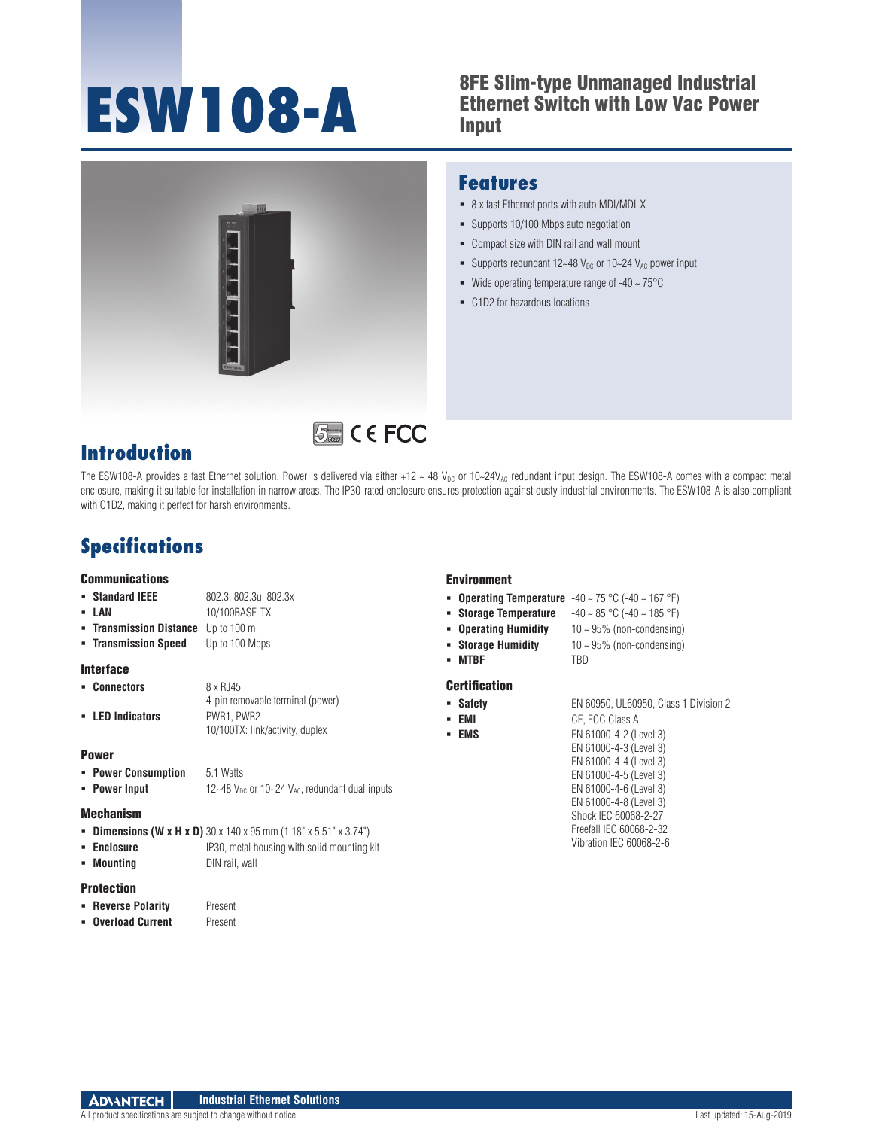## **ESW108-A** 8FE Slim-type Unmanaged Industrial<br>
Input<br>
Input Ethernet Switch with Low Vac Power Input



### **Features**

- 8 x fast Ethernet ports with auto MDI/MDI-X
- Supports 10/100 Mbps auto negotiation
- Compact size with DIN rail and wall mount
- Supports redundant  $12-48$  V<sub>DC</sub> or  $10-24$  V<sub>AC</sub> power input
- Wide operating temperature range of  $-40 \sim 75^{\circ}$ C
- C1D2 for hazardous locations

# **Introduction**

**际 CE FCC** 

The ESW108-A provides a fast Ethernet solution. Power is delivered via either +12 ~ 48  $V_{DC}$  or 10~24 $V_{AC}$  redundant input design. The ESW108-A comes with a compact metal enclosure, making it suitable for installation in narrow areas. The IP30-rated enclosure ensures protection against dusty industrial environments. The ESW108-A is also compliant with C1D2, making it perfect for harsh environments.

# **Specifications**

#### **Communications**

- **Standard IEEE** 802.3, 802.3u, 802.3x
- 
- **LAN** 10/100BASE-TX
- **Transmission Distance** Up to 100 m
- **Transmission Speed** Up to 100 Mbps

### Interface

- **Connectors** 8 x RJ45 4-pin removable terminal (power) **LED Indicators** PWR1, PWR2
	- 10/100TX: link/activity, duplex

#### Power

- **Power Consumption** 5.1 Watts
- **Power Input 12~48**  $V_{DC}$  or 10~24  $V_{AC}$ , redundant dual inputs

#### Mechanism

- **Dimensions (W x H x D)** 30 x 140 x 95 mm (1.18" x 5.51" x 3.74")
- **Enclosure** IP30, metal housing with solid mounting kit
- **Mounting Billion** DIN rail, wall

### Protection

- **Reverse Polarity** Present
- **Overload Current** Present
	-

#### Environment

- **Operating Temperature** -40 ~ 75 °C (-40 ~ 167 °F)
- **Storage Temperature** -40 ~ 85 °C (-40 ~ 185 °F)
- **Operating Humidity** 10 ~ 95% (non-condensing)
- 
- **Storage Humidity** 10 ~ 95% (non-condensing)
- **MTBF** TBD

### **Certification**

- 
- 
- 

**Safety** EN 60950, UL60950, Class 1 Division 2

- **EMI** CE, FCC Class A
- **EMS** EN 61000-4-2 (Level 3)
	- EN 61000-4-3 (Level 3) EN 61000-4-4 (Level 3) EN 61000-4-5 (Level 3)
	- EN 61000-4-6 (Level 3) EN 61000-4-8 (Level 3) Shock IEC 60068-2-27 Freefall IEC 60068-2-32

Vibration IEC 60068-2-6